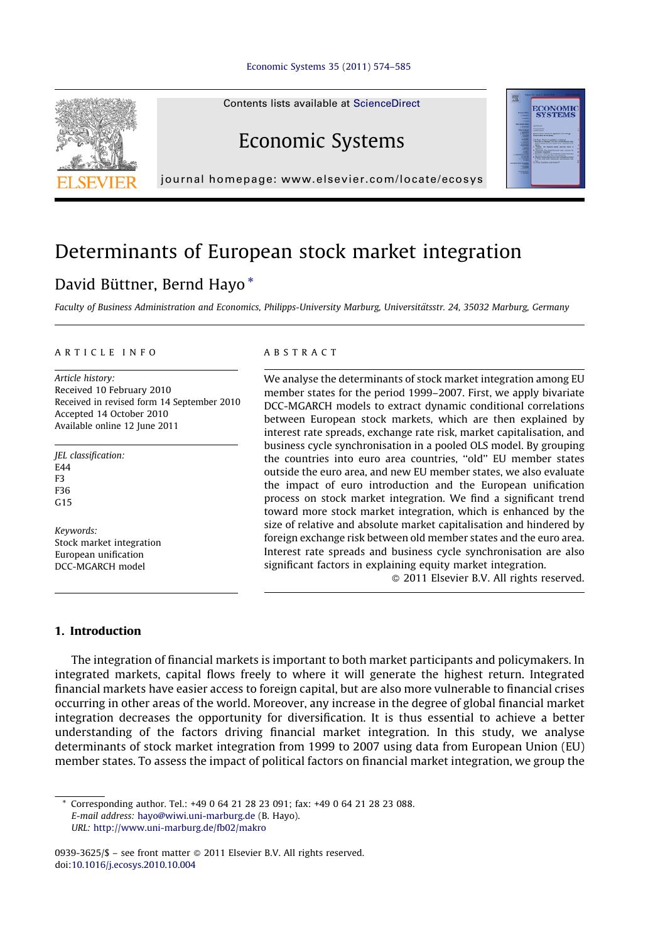Contents lists available at [ScienceDirect](http://www.sciencedirect.com/science/journal/09393625)



# Economic Systems



journal homepage: www.elsevier.com/locate/ecosys

## Determinants of European stock market integration

### David Büttner, Bernd Hayo\*

Faculty of Business Administration and Economics, Philipps-University Marburg, Universitätsstr. 24, 35032 Marburg, Germany

#### A R T I C L E I N F O

Article history: Received 10 February 2010 Received in revised form 14 September 2010 Accepted 14 October 2010 Available online 12 June 2011

JEL classification: **F44** F3 F36  $G<sub>15</sub>$ 

Keywords: Stock market integration European unification DCC-MGARCH model

#### A B S T R A C T

We analyse the determinants of stock market integration among EU member states for the period 1999–2007. First, we apply bivariate DCC-MGARCH models to extract dynamic conditional correlations between European stock markets, which are then explained by interest rate spreads, exchange rate risk, market capitalisation, and business cycle synchronisation in a pooled OLS model. By grouping the countries into euro area countries, ''old'' EU member states outside the euro area, and new EU member states, we also evaluate the impact of euro introduction and the European unification process on stock market integration. We find a significant trend toward more stock market integration, which is enhanced by the size of relative and absolute market capitalisation and hindered by foreign exchange risk between old member states and the euro area. Interest rate spreads and business cycle synchronisation are also significant factors in explaining equity market integration.

- 2011 Elsevier B.V. All rights reserved.

#### 1. Introduction

The integration of financial markets is important to both market participants and policymakers. In integrated markets, capital flows freely to where it will generate the highest return. Integrated financial markets have easier access to foreign capital, but are also more vulnerable to financial crises occurring in other areas of the world. Moreover, any increase in the degree of global financial market integration decreases the opportunity for diversification. It is thus essential to achieve a better understanding of the factors driving financial market integration. In this study, we analyse determinants of stock market integration from 1999 to 2007 using data from European Union (EU) member states. To assess the impact of political factors on financial market integration, we group the

Corresponding author. Tel.: +49 0 64 21 28 23 091; fax: +49 0 64 21 28 23 088. E-mail address: [hayo@wiwi.uni-marburg.de](mailto:hayo@wiwi.uni-marburg.de) (B. Hayo). URL: <http://www.uni-marburg.de/fb02/makro>

0939-3625/\$ – see front matter © 2011 Elsevier B.V. All rights reserved. doi:[10.1016/j.ecosys.2010.10.004](http://dx.doi.org/10.1016/j.ecosys.2010.10.004)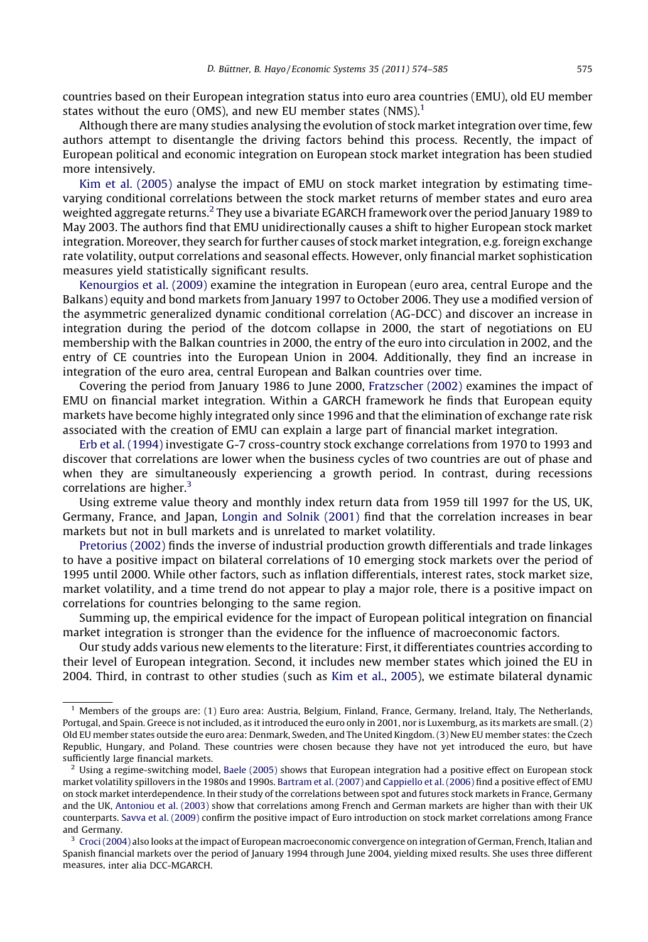countries based on their European integration status into euro area countries (EMU), old EU member states without the euro (OMS), and new EU member states (NMS). $<sup>1</sup>$ </sup>

Although there are many studies analysing the evolution of stock marketintegration over time, few authors attempt to disentangle the driving factors behind this process. Recently, the impact of European political and economic integration on European stock market integration has been studied more intensively.

Kim et al. [\(2005\)](#page--1-0) analyse the impact of EMU on stock market integration by estimating timevarying conditional correlations between the stock market returns of member states and euro area weighted aggregate returns.<sup>2</sup> They use a bivariate EGARCH framework over the period January 1989 to May 2003. The authors find that EMU unidirectionally causes a shift to higher European stock market integration. Moreover, they search for further causes of stock market integration, e.g. foreign exchange rate volatility, output correlations and seasonal effects. However, only financial market sophistication measures yield statistically significant results.

[Kenourgios](#page--1-0) et al. (2009) examine the integration in European (euro area, central Europe and the Balkans) equity and bond markets from January 1997 to October 2006. They use a modified version of the asymmetric generalized dynamic conditional correlation (AG-DCC) and discover an increase in integration during the period of the dotcom collapse in 2000, the start of negotiations on EU membership with the Balkan countries in 2000, the entry of the euro into circulation in 2002, and the entry of CE countries into the European Union in 2004. Additionally, they find an increase in integration of the euro area, central European and Balkan countries over time.

Covering the period from January 1986 to June 2000, [Fratzscher](#page--1-0) (2002) examines the impact of EMU on financial market integration. Within a GARCH framework he finds that European equity markets have become highly integrated only since 1996 and that the elimination of exchange rate risk associated with the creation of EMU can explain a large part of financial market integration.

Erb et al. [\(1994\)](#page--1-0) investigate G-7 cross-country stock exchange correlations from 1970 to 1993 and discover that correlations are lower when the business cycles of two countries are out of phase and when they are simultaneously experiencing a growth period. In contrast, during recessions correlations are higher. $3$ 

Using extreme value theory and monthly index return data from 1959 till 1997 for the US, UK, Germany, France, and Japan, [Longin](#page--1-0) and Solnik (2001) find that the correlation increases in bear markets but not in bull markets and is unrelated to market volatility.

[Pretorius](#page--1-0) (2002) finds the inverse of industrial production growth differentials and trade linkages to have a positive impact on bilateral correlations of 10 emerging stock markets over the period of 1995 until 2000. While other factors, such as inflation differentials, interest rates, stock market size, market volatility, and a time trend do not appear to play a major role, there is a positive impact on correlations for countries belonging to the same region.

Summing up, the empirical evidence for the impact of European political integration on financial market integration is stronger than the evidence for the influence of macroeconomic factors.

Our study adds various new elements to the literature: First, it differentiates countries according to their level of European integration. Second, it includes new member states which joined the EU in 2004. Third, in contrast to other studies (such as Kim et al., [2005\)](#page--1-0), we estimate bilateral dynamic

 $<sup>1</sup>$  Members of the groups are: (1) Euro area: Austria, Belgium, Finland, France, Germany, Ireland, Italy, The Netherlands,</sup> Portugal, and Spain. Greece is not included, as it introduced the euro only in 2001, nor is Luxemburg, as its markets are small. (2) Old EU member states outside the euro area: Denmark, Sweden, and The United Kingdom. (3) New EU member states: the Czech Republic, Hungary, and Poland. These countries were chosen because they have not yet introduced the euro, but have sufficiently large financial markets.

 $^2$  Using a regime-switching model, Baele [\(2005\)](#page--1-0) shows that European integration had a positive effect on European stock market volatility spillovers in the 1980s and 1990s. [Bartram](#page--1-0) et al. (2007) and [Cappiello](#page--1-0) et al. (2006) find a positive effect of EMU on stock market interdependence. In their study of the correlations between spot and futures stock markets in France, Germany and the UK, [Antoniou](#page--1-0) et al. (2003) show that correlations among French and German markets are higher than with their UK counterparts. Savva et al. [\(2009\)](#page--1-0) confirm the positive impact of Euro introduction on stock market correlations among France and Germany.

 $3$  Croci (2004) also looks at the impact of European macroeconomic convergence on integration of German, French, Italian and Spanish financial markets over the period of January 1994 through June 2004, yielding mixed results. She uses three different measures, inter alia DCC-MGARCH.